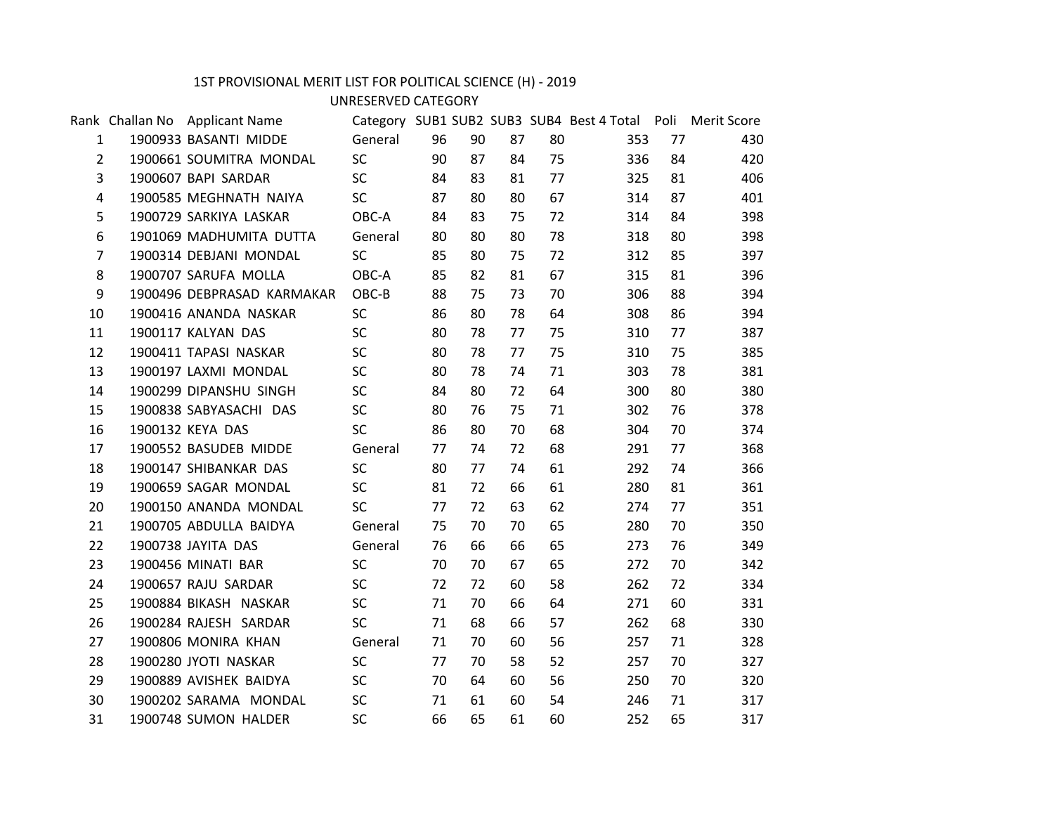## 1ST PROVISIONAL MERIT LIST FOR POLITICAL SCIENCE (H) - 2019

UNRESERVED CATEGORY

|                | Rank Challan No Applicant Name   |           |    |    |    |    | Category SUB1 SUB2 SUB3 SUB4 Best 4 Total Poli Merit Score |    |     |  |
|----------------|----------------------------------|-----------|----|----|----|----|------------------------------------------------------------|----|-----|--|
| $\mathbf{1}$   | 1900933 BASANTI MIDDE            | General   | 96 | 90 | 87 | 80 | 353                                                        | 77 | 430 |  |
| $2^{\circ}$    | 1900661 SOUMITRA MONDAL          | SC        | 90 | 87 | 84 | 75 | 336                                                        | 84 | 420 |  |
| 3              | 1900607 BAPI SARDAR              | SC        | 84 | 83 | 81 | 77 | 325                                                        | 81 | 406 |  |
| 4              | 1900585 MEGHNATH NAIYA           | SC        | 87 | 80 | 80 | 67 | 314                                                        | 87 | 401 |  |
| 5              | 1900729 SARKIYA LASKAR           | OBC-A     | 84 | 83 | 75 | 72 | 314                                                        | 84 | 398 |  |
| 6              | 1901069 MADHUMITA DUTTA          | General   | 80 | 80 | 80 | 78 | 318                                                        | 80 | 398 |  |
| $\overline{7}$ | 1900314 DEBJANI MONDAL           | <b>SC</b> | 85 | 80 | 75 | 72 | 312                                                        | 85 | 397 |  |
| 8              | 1900707 SARUFA MOLLA             | OBC-A     | 85 | 82 | 81 | 67 | 315                                                        | 81 | 396 |  |
| 9              | 1900496 DEBPRASAD KARMAKAR OBC-B |           | 88 | 75 | 73 | 70 | 306                                                        | 88 | 394 |  |
| 10             | 1900416 ANANDA NASKAR            | SC        | 86 | 80 | 78 | 64 | 308                                                        | 86 | 394 |  |
| 11             | 1900117 KALYAN DAS               | SC        | 80 | 78 | 77 | 75 | 310                                                        | 77 | 387 |  |
| 12             | 1900411 TAPASI NASKAR            | SC        | 80 | 78 | 77 | 75 | 310                                                        | 75 | 385 |  |
| 13             | 1900197 LAXMI MONDAL             | SC        | 80 | 78 | 74 | 71 | 303                                                        | 78 | 381 |  |
| 14             | 1900299 DIPANSHU SINGH           | SC        | 84 | 80 | 72 | 64 | 300                                                        | 80 | 380 |  |
| 15             | 1900838 SABYASACHI DAS           | <b>SC</b> | 80 | 76 | 75 | 71 | 302                                                        | 76 | 378 |  |
| 16             | 1900132 KEYA DAS                 | <b>SC</b> | 86 | 80 | 70 | 68 | 304                                                        | 70 | 374 |  |
| 17             | 1900552 BASUDEB MIDDE            | General   | 77 | 74 | 72 | 68 | 291                                                        | 77 | 368 |  |
| 18             | 1900147 SHIBANKAR DAS            | <b>SC</b> | 80 | 77 | 74 | 61 | 292                                                        | 74 | 366 |  |
| 19             | 1900659 SAGAR MONDAL             | SC        | 81 | 72 | 66 | 61 | 280                                                        | 81 | 361 |  |
| 20             | 1900150 ANANDA MONDAL            | SC        | 77 | 72 | 63 | 62 | 274                                                        | 77 | 351 |  |
| 21             | 1900705 ABDULLA BAIDYA           | General   | 75 | 70 | 70 | 65 | 280                                                        | 70 | 350 |  |
| 22             | 1900738 JAYITA DAS               | General   | 76 | 66 | 66 | 65 | 273                                                        | 76 | 349 |  |
| 23             | 1900456 MINATI BAR               | <b>SC</b> | 70 | 70 | 67 | 65 | 272                                                        | 70 | 342 |  |
| 24             | 1900657 RAJU SARDAR              | SC        | 72 | 72 | 60 | 58 | 262                                                        | 72 | 334 |  |
| 25             | 1900884 BIKASH NASKAR            | <b>SC</b> | 71 | 70 | 66 | 64 | 271                                                        | 60 | 331 |  |
| 26             | 1900284 RAJESH SARDAR            | SC        | 71 | 68 | 66 | 57 | 262                                                        | 68 | 330 |  |
| 27             | 1900806 MONIRA KHAN              | General   | 71 | 70 | 60 | 56 | 257                                                        | 71 | 328 |  |
| 28             | 1900280 JYOTI NASKAR             | SC        | 77 | 70 | 58 | 52 | 257                                                        | 70 | 327 |  |
| 29             | 1900889 AVISHEK BAIDYA           | SC        | 70 | 64 | 60 | 56 | 250                                                        | 70 | 320 |  |
| 30             | 1900202 SARAMA MONDAL            | SC        | 71 | 61 | 60 | 54 | 246                                                        | 71 | 317 |  |
| 31             | 1900748 SUMON HALDER             | SC        | 66 | 65 | 61 | 60 | 252                                                        | 65 | 317 |  |